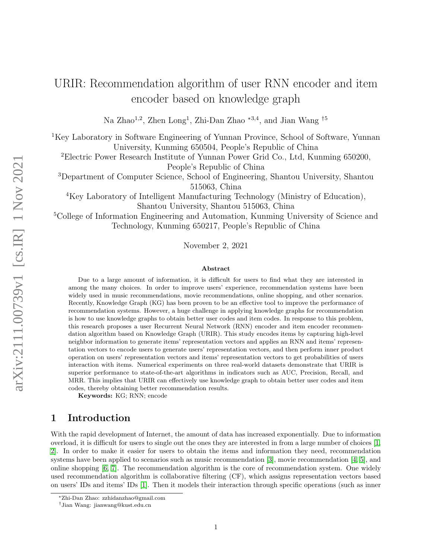# URIR: Recommendation algorithm of user RNN encoder and item encoder based on knowledge graph

Na Zhao<sup>1,2</sup>, Zhen Long<sup>1</sup>, Zhi-Dan Zhao<sup>\*3,4</sup>, and Jian Wang<sup>†5</sup>

<sup>1</sup>Key Laboratory in Software Engineering of Yunnan Province, School of Software, Yunnan University, Kunming 650504, People's Republic of China

<sup>2</sup>Electric Power Research Institute of Yunnan Power Grid Co., Ltd, Kunming 650200, People's Republic of China

<sup>3</sup>Department of Computer Science, School of Engineering, Shantou University, Shantou 515063, China

<sup>4</sup>Key Laboratory of Intelligent Manufacturing Technology (Ministry of Education), Shantou University, Shantou 515063, China

<sup>5</sup>College of Information Engineering and Automation, Kunming University of Science and Technology, Kunming 650217, People's Republic of China

November 2, 2021

#### Abstract

Due to a large amount of information, it is difficult for users to find what they are interested in among the many choices. In order to improve users' experience, recommendation systems have been widely used in music recommendations, movie recommendations, online shopping, and other scenarios. Recently, Knowledge Graph (KG) has been proven to be an effective tool to improve the performance of recommendation systems. However, a huge challenge in applying knowledge graphs for recommendation is how to use knowledge graphs to obtain better user codes and item codes. In response to this problem, this research proposes a user Recurrent Neural Network (RNN) encoder and item encoder recommendation algorithm based on Knowledge Graph (URIR). This study encodes items by capturing high-level neighbor information to generate items' representation vectors and applies an RNN and items' representation vectors to encode users to generate users' representation vectors, and then perform inner product operation on users' representation vectors and items' representation vectors to get probabilities of users interaction with items. Numerical experiments on three real-world datasets demonstrate that URIR is superior performance to state-of-the-art algorithms in indicators such as AUC, Precision, Recall, and MRR. This implies that URIR can effectively use knowledge graph to obtain better user codes and item codes, thereby obtaining better recommendation results.

Keywords: KG; RNN; encode

### 1 Introduction

With the rapid development of Internet, the amount of data has increased exponentially. Due to information overload, it is difficult for users to single out the ones they are interested in from a large number of choices [\[1,](#page-9-0) [2\]](#page-9-1). In order to make it easier for users to obtain the items and information they need, recommendation systems have been applied to scenarios such as music recommendation [\[3\]](#page-9-2), movie recommendation [\[4,](#page-9-3) [5\]](#page-9-4), and online shopping [\[6,](#page-9-5) [7\]](#page-10-0). The recommendation algorithm is the core of recommendation system. One widely used recommendation algorithm is collaborative filtering (CF), which assigns representation vectors based on users' IDs and items' IDs [\[1\]](#page-9-0). Then it models their interaction through specific operations (such as inner

<sup>∗</sup>Zhi-Dan Zhao: zzhidanzhao@gmail.com

<sup>†</sup>Jian Wang: jianwang@kust.edu.cn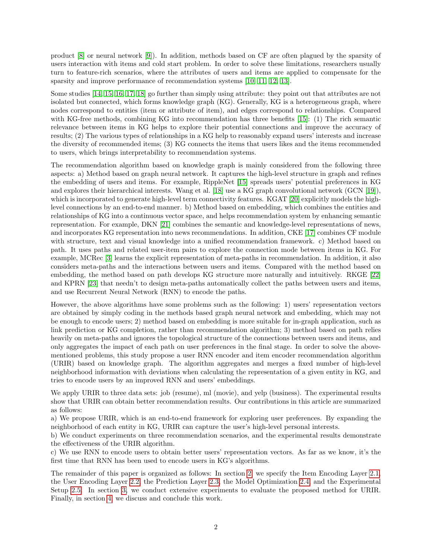product [\[8\]](#page-10-1) or neural network [\[9\]](#page-10-2)). In addition, methods based on CF are often plagued by the sparsity of users interaction with items and cold start problem. In order to solve these limitations, researchers usually turn to feature-rich scenarios, where the attributes of users and items are applied to compensate for the sparsity and improve performance of recommendation systems [\[10,](#page-10-3) [11,](#page-10-4) [12,](#page-10-5) [13\]](#page-10-6).

Some studies [\[14,](#page-10-7) [15,](#page-10-8) [16,](#page-10-9) [17,](#page-10-10) [18\]](#page-10-11) go further than simply using attribute: they point out that attributes are not isolated but connected, which forms knowledge graph (KG). Generally, KG is a heterogeneous graph, where nodes correspond to entities (item or attribute of item), and edges correspond to relationships. Compared with KG-free methods, combining KG into recommendation has three benefits [\[15\]](#page-10-8): (1) The rich semantic relevance between items in KG helps to explore their potential connections and improve the accuracy of results; (2) The various types of relationships in a KG help to reasonably expand users' interests and increase the diversity of recommended items; (3) KG connects the items that users likes and the items recommended to users, which brings interpretability to recommendation systems.

The recommendation algorithm based on knowledge graph is mainly considered from the following three aspects: a) Method based on graph neural network. It captures the high-level structure in graph and refines the embedding of users and items. For example, RippleNet [\[15\]](#page-10-8) spreads users' potential preferences in KG and explores their hierarchical interests. Wang et al. [\[18\]](#page-10-11) use a KG graph convolutional network (GCN [\[19\]](#page-10-12)), which is incorporated to generate high-level term connectivity features. KGAT [\[20\]](#page-10-13) explicitly models the highlevel connections by an end-to-end manner. b) Method based on embedding, which combines the entities and relationships of KG into a continuous vector space, and helps recommendation system by enhancing semantic representation. For example, DKN [\[21\]](#page-10-14) combines the semantic and knowledge-level representations of news, and incorporates KG representation into news recommendations. In addition, CKE [\[17\]](#page-10-10) combines CF module with structure, text and visual knowledge into a unified recommendation framework. c) Method based on path. It uses paths and related user-item pairs to explore the connection mode between items in KG. For example, MCRec [\[3\]](#page-9-2) learns the explicit representation of meta-paths in recommendation. In addition, it also considers meta-paths and the interactions between users and items. Compared with the method based on embedding, the method based on path develops KG structure more naturally and intuitively. RKGE [\[22\]](#page-10-15) and KPRN [\[23\]](#page-11-0) that needn't to design meta-paths automatically collect the paths between users and items, and use Recurrent Neural Network (RNN) to encode the paths.

However, the above algorithms have some problems such as the following: 1) users' representation vectors are obtained by simply coding in the methods based graph neural network and embedding, which may not be enough to encode users; 2) method based on embedding is more suitable for in-graph application, such as link prediction or KG completion, rather than recommendation algorithm; 3) method based on path relies heavily on meta-paths and ignores the topological structure of the connections between users and items, and only aggregates the impact of each path on user preferences in the final stage. In order to solve the abovementioned problems, this study propose a user RNN encoder and item encoder recommendation algorithm (URIR) based on knowledge graph. The algorithm aggregates and merges a fixed number of high-level neighborhood information with deviations when calculating the representation of a given entity in KG, and tries to encode users by an improved RNN and users' embeddings.

We apply URIR to three data sets: job (resume), ml (movie), and yelp (business). The experimental results show that URIR can obtain better recommendation results. Our contributions in this article are summarized as follows:

a) We propose URIR, which is an end-to-end framework for exploring user preferences. By expanding the neighborhood of each entity in KG, URIR can capture the user's high-level personal interests.

b) We conduct experiments on three recommendation scenarios, and the experimental results demonstrate the effectiveness of the URIR algorithm.

c) We use RNN to encode users to obtain better users' representation vectors. As far as we know, it's the first time that RNN has been used to encode users in KG's algorithms.

The remainder of this paper is organized as follows: In section [2,](#page-2-0) we specify the Item Encoding Layer [2.1,](#page-3-0) the User Encoding Layer [2.2,](#page-4-0) the Prediction Layer [2.3,](#page-4-1) the Model Optimization [2.4,](#page-4-2) and the Experimental Setup [2.5.](#page-5-0) In section [3,](#page-6-0) we conduct extensive experiments to evaluate the proposed method for URIR. Finally, in section [4,](#page-9-6) we discuss and conclude this work.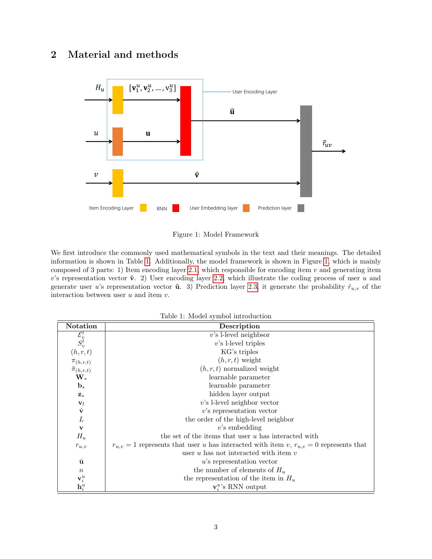## <span id="page-2-0"></span>2 Material and methods



<span id="page-2-2"></span>Figure 1: Model Framework

We first introduce the commonly used mathematical symbols in the text and their meanings. The detailed information is shown in Table [1.](#page-2-1) Additionally, the model framework is shown in Figure [1,](#page-2-2) which is mainly composed of 3 parts: 1) Item encoding layer [2.1,](#page-3-0) which responsible for encoding item  $v$  and generating item v's representation vector  $\hat{v}$ . 2) User encoding layer [2.2,](#page-4-0) which illustrate the coding process of user u and generate user u's representation vector **û**. 3) Prediction layer [2.3,](#page-4-1) it generate the probability  $\tilde{r}_{u,v}$  of the interaction between user  $u$  and item  $v$ .

<span id="page-2-1"></span>

|  | Table 1: Model symbol introduction |
|--|------------------------------------|
|  |                                    |

| <b>Notation</b>                      | Description                                                                                    |
|--------------------------------------|------------------------------------------------------------------------------------------------|
| $\mathcal{E}_v^l$                    | $v$ 's l-level neighbsor                                                                       |
| $S_v^l$                              | $v$ 's l-level triples                                                                         |
| (h,r,t)                              | KG's triples                                                                                   |
| $\pi_{(h,r,t)}$                      | $(h, r, t)$ weight                                                                             |
| $\tilde{\pi}_{(h,r,t)}$              | $(h, r, t)$ normalized weight                                                                  |
| $\mathbf{W}_*$                       | learnable parameter                                                                            |
| $\mathbf{b}_*$                       | learnable parameter                                                                            |
| $\mathbf{Z}_{*}$                     | hidden layer output                                                                            |
| $\mathbf{v}_l$                       | $v$ 's l-level neighbor vector                                                                 |
| $\hat{\mathbf{v}}$                   | $v$ 's representation vector                                                                   |
| L                                    | the order of the high-level neighbor                                                           |
| $\mathbf v$                          | $v$ 's embedding                                                                               |
| $H_u$                                | the set of the items that user $u$ has interacted with                                         |
| $r_{u,v}$                            | $r_{u,v} = 1$ represents that user u has interacted with item v, $r_{u,v} = 0$ represents that |
|                                      | user $u$ has not interacted with item $v$                                                      |
| û                                    | $u$ 's representation vector                                                                   |
| $\boldsymbol{n}$                     | the number of elements of $H_u$                                                                |
|                                      | the representation of the item in $H_u$                                                        |
| $\mathbf{v}_i^u$<br>$\mathbf{h}_i^u$ | $v_i^u$ 's RNN output                                                                          |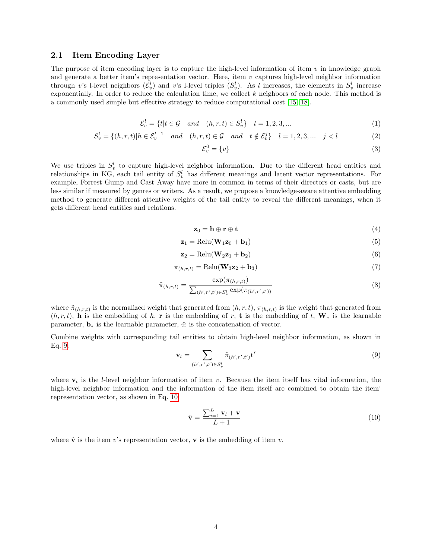#### <span id="page-3-0"></span>2.1 Item Encoding Layer

The purpose of item encoding layer is to capture the high-level information of item  $v$  in knowledge graph and generate a better item's representation vector. Here, item  $v$  captures high-level neighbor information through v's l-level neighbors  $(\mathcal{E}^l_v)$  and v's l-level triples  $(S_v^l)$ . As l increases, the elements in  $S_v^l$  increase exponentially. In order to reduce the calculation time, we collect  $k$  neighbors of each node. This method is a commonly used simple but effective strategy to reduce computational cost [\[15,](#page-10-8) [18\]](#page-10-11).

$$
\mathcal{E}_v^l = \{t | t \in \mathcal{G} \quad and \quad (h, r, t) \in S_v^l\} \quad l = 1, 2, 3, \dots \tag{1}
$$

$$
S_v^l = \{(h, r, t)|h \in \mathcal{E}_v^{l-1} \quad and \quad (h, r, t) \in \mathcal{G} \quad and \quad t \notin \mathcal{E}_v^j\} \quad l = 1, 2, 3, \dots \quad j < l \tag{2}
$$

$$
\mathcal{E}_v^0 = \{v\} \tag{3}
$$

We use triples in  $S_v^l$  to capture high-level neighbor information. Due to the different head entities and relationships in KG, each tail entity of  $S_v^l$  has different meanings and latent vector representations. For example, Forrest Gump and Cast Away have more in common in terms of their directors or casts, but are less similar if measured by genres or writers. As a result, we propose a knowledge-aware attentive embedding method to generate different attentive weights of the tail entity to reveal the different meanings, when it gets different head entities and relations.

$$
\mathbf{z}_0 = \mathbf{h} \oplus \mathbf{r} \oplus \mathbf{t} \tag{4}
$$

$$
\mathbf{z}_1 = \text{Relu}(\mathbf{W}_1 \mathbf{z}_0 + \mathbf{b}_1) \tag{5}
$$

$$
\mathbf{z}_2 = \text{Relu}(\mathbf{W}_2 \mathbf{z}_1 + \mathbf{b}_2) \tag{6}
$$

$$
\pi_{(h,r,t)} = \text{Relu}(\mathbf{W}_3 \mathbf{z}_2 + \mathbf{b}_3) \tag{7}
$$

$$
\tilde{\pi}_{(h,r,t)} = \frac{\exp(\pi_{(h,r,t)})}{\sum_{(h',r',t') \in S_v^l} \exp(\pi_{(h',r',t')})}
$$
(8)

where  $\tilde{\pi}_{(h,r,t)}$  is the normalized weight that generated from  $(h,r,t)$ ,  $\pi_{(h,r,t)}$  is the weight that generated from  $(h, r, t)$ , h is the embedding of h, r is the embedding of r, t is the embedding of t,  $W_*$  is the learnable parameter,  $\mathbf{b}_*$  is the learnable parameter,  $\oplus$  is the concatenation of vector.

Combine weights with corresponding tail entities to obtain high-level neighbor information, as shown in Eq. [9:](#page-3-1)

<span id="page-3-1"></span>
$$
\mathbf{v}_l = \sum_{(h',r',t') \in S_v^l} \tilde{\pi}_{(h',r',t')} \mathbf{t}' \tag{9}
$$

where  $v_l$  is the *l*-level neighbor information of item v. Because the item itself has vital information, the high-level neighbor information and the information of the item itself are combined to obtain the item' representation vector, as shown in Eq. [10:](#page-3-2)

<span id="page-3-2"></span>
$$
\hat{\mathbf{v}} = \frac{\sum_{i=1}^{L} \mathbf{v}_l + \mathbf{v}}{L+1}
$$
\n(10)

where  $\hat{\mathbf{v}}$  is the item v's representation vector, **v** is the embedding of item v.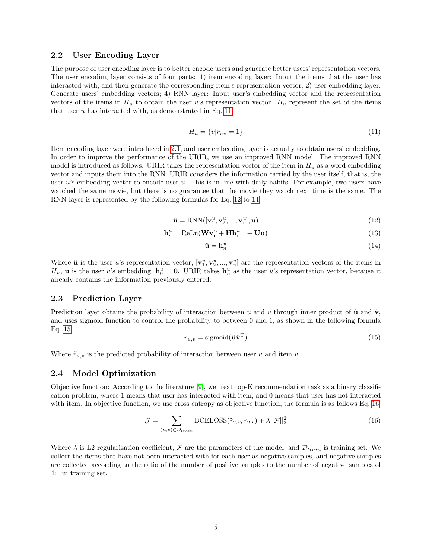#### <span id="page-4-0"></span>2.2 User Encoding Layer

The purpose of user encoding layer is to better encode users and generate better users' representation vectors. The user encoding layer consists of four parts: 1) item encoding layer: Input the items that the user has interacted with, and then generate the corresponding item's representation vector; 2) user embedding layer: Generate users' embedding vectors; 4) RNN layer: Input user's embedding vector and the representation vectors of the items in  $H_u$  to obtain the user u's representation vector.  $H_u$  represent the set of the items that user  $u$  has interacted with, as demonstrated in Eq. [11.](#page-4-3)

<span id="page-4-3"></span>
$$
H_u = \{v | r_{uv} = 1\} \tag{11}
$$

Item encoding layer were introduced in [2.1,](#page-3-0) and user embedding layer is actually to obtain users' embedding. In order to improve the performance of the URIR, we use an improved RNN model. The improved RNN model is introduced as follows. URIR takes the representation vector of the item in  $H_u$  as a word embedding vector and inputs them into the RNN. URIR considers the information carried by the user itself, that is, the user  $u$ 's embedding vector to encode user  $u$ . This is in line with daily habits. For example, two users have watched the same movie, but there is no guarantee that the movie they watch next time is the same. The RNN layer is represented by the following formulas for Eq. [12](#page-4-4) to [14:](#page-4-5)

<span id="page-4-4"></span>
$$
\hat{\mathbf{u}} = RNN([\mathbf{v}_1^u, \mathbf{v}_2^u, ..., \mathbf{v}_n^u], \mathbf{u})
$$
\n(12)

$$
\mathbf{h}_{i}^{u} = \text{ReLu}(\mathbf{W}\mathbf{v}_{i}^{u} + \mathbf{H}\mathbf{h}_{i-1}^{u} + \mathbf{U}\mathbf{u})
$$
\n(13)

<span id="page-4-5"></span>
$$
\hat{\mathbf{u}} = \mathbf{h}_n^u \tag{14}
$$

Where  $\hat{\mathbf{u}}$  is the user u's representation vector,  $[\mathbf{v}_1^u, \mathbf{v}_2^u, ..., \mathbf{v}_n^u]$  are the representation vectors of the items in  $H_u$ , **u** is the user u's embedding,  $h_0^u = 0$ . URIR takes  $h_n^u$  as the user u's representation vector, because it already contains the information previously entered.

#### <span id="page-4-1"></span>2.3 Prediction Layer

Prediction layer obtains the probability of interaction between u and v through inner product of  $\hat{u}$  and  $\hat{v}$ , and uses sigmoid function to control the probability to between 0 and 1, as shown in the following formula Eq. [15:](#page-4-6)

<span id="page-4-6"></span>
$$
\tilde{r}_{u,v} = \text{sigmoid}(\hat{\mathbf{u}}\hat{\mathbf{v}}^{\mathrm{T}})
$$
\n(15)

Where  $\tilde{r}_{u,v}$  is the predicted probability of interaction between user u and item v.

#### <span id="page-4-2"></span>2.4 Model Optimization

Objective function: According to the literature [\[9\]](#page-10-2), we treat top-K recommendation task as a binary classification problem, where 1 means that user has interacted with item, and 0 means that user has not interacted with item. In objective function, we use cross entropy as objective function, the formula is as follows Eq. [16:](#page-4-7)

<span id="page-4-7"></span>
$$
\mathcal{J} = \sum_{(u,v)\in\mathcal{D}_{train}} \text{BCELOSS}(\tilde{r}_{u,v}, r_{u,v}) + \lambda ||\mathcal{F}||_2^2 \tag{16}
$$

Where  $\lambda$  is L2 regularization coefficient, F are the parameters of the model, and  $\mathcal{D}_{train}$  is training set. We collect the items that have not been interacted with for each user as negative samples, and negative samples are collected according to the ratio of the number of positive samples to the number of negative samples of 4:1 in training set.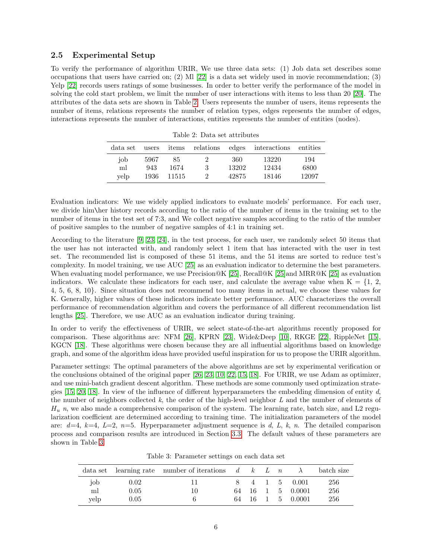#### <span id="page-5-0"></span>2.5 Experimental Setup

To verify the performance of algorithm URIR, We use three data sets: (1) Job data set describes some occupations that users have carried on; (2) Ml  $[22]$  is a data set widely used in movie recommendation; (3) Yelp [\[22\]](#page-10-15) records users ratings of some businesses. In order to better verify the performance of the model in solving the cold start problem, we limit the number of user interactions with items to less than 20 [\[20\]](#page-10-13). The attributes of the data sets are shown in Table [2.](#page-5-1) Users represents the number of users, items represents the number of items, relations represents the number of relation types, edges represents the number of edges, interactions represents the number of interactions, entities represents the number of entities (nodes).

| data set | users | items |          |       | relations edges interactions | entities |
|----------|-------|-------|----------|-------|------------------------------|----------|
| job      | 5967  | 85    |          | 360   | 13220                        | 194      |
| ml       | 943   | 1674  | 3        | 13202 | 12434                        | 6800     |
| velp     | 1936  | 11515 | $\Omega$ | 42875 | 18146                        | 12097    |

<span id="page-5-1"></span>Table 2: Data set attributes

Evaluation indicators: We use widely applied indicators to evaluate models' performance. For each user, we divide him\her history records according to the ratio of the number of items in the training set to the number of items in the test set of 7:3, and We collect negative samples according to the ratio of the number of positive samples to the number of negative samples of 4:1 in training set.

According to the literature [\[9,](#page-10-2) [23,](#page-11-0) [24\]](#page-11-1), in the test process, for each user, we randomly select 50 items that the user has not interacted with, and randomly select 1 item that has interacted with the user in test set. The recommended list is composed of these 51 items, and the 51 items are sorted to reduce test's complexity. In model training, we use AUC [\[25\]](#page-11-2) as an evaluation indicator to determine the best parameters. When evaluating model performance, we use Precision@K [\[25\]](#page-11-2), Recall@K [25] and MRR@K [25] as evaluation indicators. We calculate these indicators for each user, and calculate the average value when  $K = \{1, 2, \ldots\}$ 4, 5, 6, 8, 10}. Since situation does not recommend too many items in actual, we choose these values for K. Generally, higher values of these indicators indicate better performance. AUC characterizes the overall performance of recommendation algorithm and covers the performance of all different recommendation list lengths [\[25\]](#page-11-2). Therefore, we use AUC as an evaluation indicator during training.

In order to verify the effectiveness of URIR, we select state-of-the-art algorithms recently proposed for comparison. These algorithms are: NFM [\[26\]](#page-11-3), KPRN [\[23\]](#page-11-0), Wide&Deep [\[10\]](#page-10-3), RKGE [\[22\]](#page-10-15), RippleNet [\[15\]](#page-10-8), KGCN [\[18\]](#page-10-11). These algorithms were chosen because they are all influential algorithms based on knowledge graph, and some of the algorithm ideas have provided useful inspiration for us to propose the URIR algorithm.

Parameter settings: The optimal parameters of the above algorithms are set by experimental verification or the conclusions obtained of the original paper [\[26,](#page-11-3) [23,](#page-11-0) [10,](#page-10-3) [22,](#page-10-15) [15,](#page-10-8) [18\]](#page-10-11). For URIR, we use Adam as optimizer, and use mini-batch gradient descent algorithm. These methods are some commonly used optimization strategies  $[15, 20, 18]$  $[15, 20, 18]$  $[15, 20, 18]$ . In view of the influence of different hyperparameters the embedding dimension of entity d, the number of neighbors collected  $k$ , the order of the high-level neighbor  $L$  and the number of elements of  $H_u$  n, we also made a comprehensive comparison of the system. The learning rate, batch size, and L2 regularization coefficient are determined according to training time. The initialization parameters of the model are:  $d=4$ ,  $k=4$ ,  $L=2$ ,  $n=5$ . Hyperparameter adjustment sequence is d, L, k, n. The detailed comparison process and comparison results are introduced in Section [3.3.](#page-7-0) The default values of these parameters are shown in Table [3.](#page-5-2)

<span id="page-5-2"></span>Table 3: Parameter settings on each data set

|      |      | data set learning rate number of iterations $d \& L \quad n$ |    |      |  |          | batch size |
|------|------|--------------------------------------------------------------|----|------|--|----------|------------|
| job  | 0.02 |                                                              |    | 4 1  |  | 5 0.001  | 256        |
| ml   | 0.05 | 10                                                           | 64 | -16- |  | 5 0.0001 | 256        |
| yelp | 0.05 |                                                              | 64 | 16   |  | 5 0.0001 | 256        |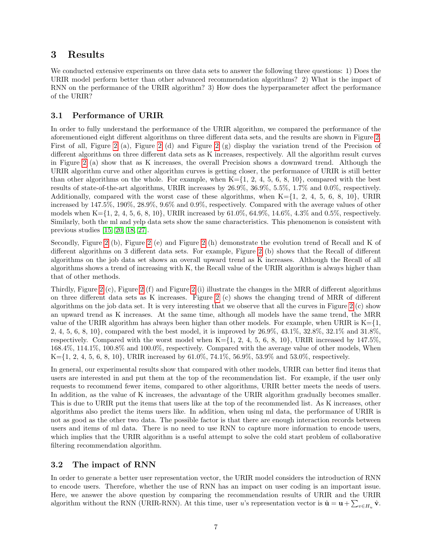### <span id="page-6-0"></span>3 Results

We conducted extensive experiments on three data sets to answer the following three questions: 1) Does the URIR model perform better than other advanced recommendation algorithms? 2) What is the impact of RNN on the performance of the URIR algorithm? 3) How does the hyperparameter affect the performance of the URIR?

#### 3.1 Performance of URIR

In order to fully understand the performance of the URIR algorithm, we compared the performance of the aforementioned eight different algorithms on three different data sets, and the results are shown in Figure [2.](#page-7-1) First of all, Figure [2](#page-7-1) (a), Figure [2](#page-7-1) (d) and Figure [2](#page-7-1) (g) display the variation trend of the Precision of different algorithms on three different data sets as K increases, respectively. All the algorithm result curves in Figure [2](#page-7-1) (a) show that as K increases, the overall Precision shows a downward trend. Although the URIR algorithm curve and other algorithm curves is getting closer, the performance of URIR is still better than other algorithms on the whole. For example, when  $K=\{1, 2, 4, 5, 6, 8, 10\}$ , compared with the best results of state-of-the-art algorithms, URIR increases by 26.9%, 36.9%, 5.5%, 1.7% and 0.0%, respectively. Additionally, compared with the worst case of these algorithms, when  $K=\{1, 2, 4, 5, 6, 8, 10\}$ , URIR increased by 147.5%, 190%, 28.9%, 9.6% and 0.9%, respectively. Compared with the average values of other models when  $K=\{1, 2, 4, 5, 6, 8, 10\}$ , URIR increased by 61.0%, 64.9%, 14.6%, 4.3% and 0.5%, respectively. Similarly, both the ml and yelp data sets show the same characteristics. This phenomenon is consistent with previous studies [\[15,](#page-10-8) [20,](#page-10-13) [18,](#page-10-11) [27\]](#page-11-4).

Secondly, Figure [2](#page-7-1) (b), Figure [2](#page-7-1) (e) and Figure [2](#page-7-1) (h) demonstrate the evolution trend of Recall and K of different algorithms on 3 different data sets. For example, Figure [2](#page-7-1) (b) shows that the Recall of different algorithms on the job data set shows an overall upward trend as K increases. Although the Recall of all algorithms shows a trend of increasing with K, the Recall value of the URIR algorithm is always higher than that of other methods.

Thirdly, Figure [2](#page-7-1) (c), Figure [2](#page-7-1) (f) and Figure [2](#page-7-1) (i) illustrate the changes in the MRR of different algorithms on three different data sets as K increases. Figure [2](#page-7-1) (c) shows the changing trend of MRR of different algorithms on the job data set. It is very interesting that we observe that all the curves in Figure [2](#page-7-1) (c) show an upward trend as K increases. At the same time, although all models have the same trend, the MRR value of the URIR algorithm has always been higher than other models. For example, when URIR is  $K=\{1,$ 2, 4, 5, 6, 8, 10}, compared with the best model, it is improved by 26.9%, 43.1%, 32.8%, 32.1% and 31.8%, respectively. Compared with the worst model when  $K=\{1, 2, 4, 5, 6, 8, 10\}$ , URIR increased by 147.5%, 168.4%, 114.1%, 100.8% and 100.0%, respectively. Compared with the average value of other models, When  $K=\{1, 2, 4, 5, 6, 8, 10\}$ , URIR increased by 61.0%, 74.1%, 56.9%, 53.9% and 53.0%, respectively.

In general, our experimental results show that compared with other models, URIR can better find items that users are interested in and put them at the top of the recommendation list. For example, if the user only requests to recommend fewer items, compared to other algorithms, URIR better meets the needs of users. In addition, as the value of K increases, the advantage of the URIR algorithm gradually becomes smaller. This is due to URIR put the items that users like at the top of the recommended list. As K increases, other algorithms also predict the items users like. In addition, when using ml data, the performance of URIR is not as good as the other two data. The possible factor is that there are enough interaction records between users and items of ml data. There is no need to use RNN to capture more information to encode users, which implies that the URIR algorithm is a useful attempt to solve the cold start problem of collaborative filtering recommendation algorithm.

#### 3.2 The impact of RNN

In order to generate a better user representation vector, the URIR model considers the introduction of RNN to encode users. Therefore, whether the use of RNN has an impact on user coding is an important issue. Here, we answer the above question by comparing the recommendation results of URIR and the URIR algorithm without the RNN (URIR-RNN). At this time, user u's representation vector is  $\hat{\mathbf{u}} = \mathbf{u} + \sum_{v \in H_u} \hat{\mathbf{v}}$ .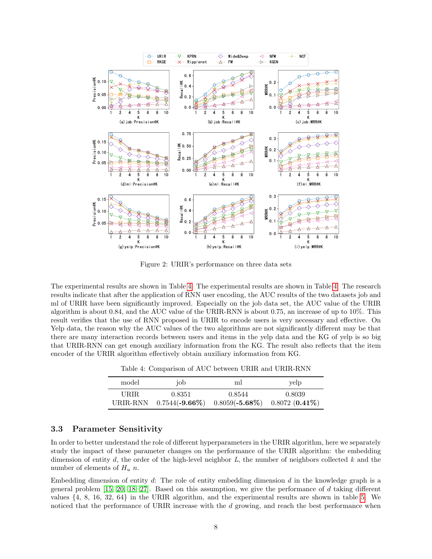

<span id="page-7-1"></span>Figure 2: URIR's performance on three data sets

The experimental results are shown in Table [4.](#page-7-2) The experimental results are shown in Table [4.](#page-7-2) The research results indicate that after the application of RNN user encoding, the AUC results of the two datasets job and ml of URIR have been significantly improved. Especially on the job data set, the AUC value of the URIR algorithm is about 0.84, and the AUC value of the URIR-RNN is about 0.75, an increase of up to 10%. This result verifies that the use of RNN proposed in URIR to encode users is very necessary and effective. On Yelp data, the reason why the AUC values of the two algorithms are not significantly different may be that there are many interaction records between users and items in the yelp data and the KG of yelp is so big that URIR-RNN can get enough auxiliary information from the KG. The result also reflects that the item encoder of the URIR algorithm effectively obtain auxiliary information from KG.

<span id="page-7-2"></span>Table 4: Comparison of AUC between URIR and URIR-RNN

| model             | job    | ml                                                             | yelp   |
|-------------------|--------|----------------------------------------------------------------|--------|
| URIR.<br>URIR-RNN | 0.8351 | 0.8544<br>$0.7544(-9.66\%)$ $0.8059(-5.68\%)$ $0.8072(0.41\%)$ | 0.8039 |

#### <span id="page-7-0"></span>3.3 Parameter Sensitivity

In order to better understand the role of different hyperparameters in the URIR algorithm, here we separately study the impact of these parameter changes on the performance of the URIR algorithm: the embedding dimension of entity d, the order of the high-level neighbor  $L$ , the number of neighbors collected k and the number of elements of  $H_u$  n.

Embedding dimension of entity  $d$ : The role of entity embedding dimension  $d$  in the knowledge graph is a general problem [\[15,](#page-10-8) [20,](#page-10-13) [18,](#page-10-11) [27\]](#page-11-4). Based on this assumption, we give the performance of d taking different values {4, 8, 16, 32, 64} in the URIR algorithm, and the experimental results are shown in table [5.](#page-8-0) We noticed that the performance of URIR increase with the d growing, and reach the best performance when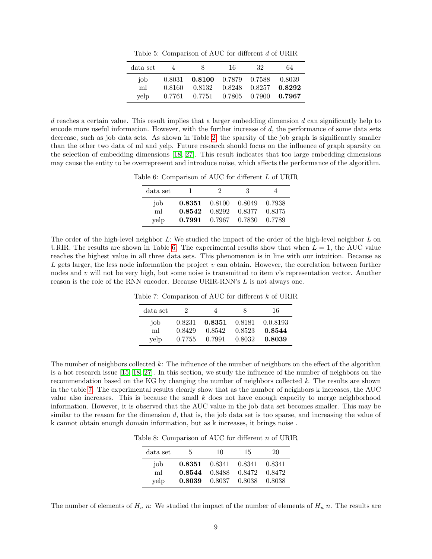<span id="page-8-0"></span>Table 5: Comparison of AUC for different d of URIR

| data set          | 4                | x                                  | 16.                                                                        | 32 | 64 |
|-------------------|------------------|------------------------------------|----------------------------------------------------------------------------|----|----|
| iob<br>ml<br>velp | 0.8160<br>0.7761 | 0.8031 0.8100 0.7879 0.7588 0.8039 | $0.8132$ $0.8248$ $0.8257$ $0.8292$<br>$0.7751$ $0.7805$ $0.7900$ $0.7967$ |    |    |

 $d$  reaches a certain value. This result implies that a larger embedding dimension  $d$  can significantly help to encode more useful information. However, with the further increase of d, the performance of some data sets decrease, such as job data sets. As shown in Table [2,](#page-5-1) the sparsity of the job graph is significantly smaller than the other two data of ml and yelp. Future research should focus on the influence of graph sparsity on the selection of embedding dimensions [\[18,](#page-10-11) [27\]](#page-11-4). This result indicates that too large embedding dimensions may cause the entity to be overrepresent and introduce noise, which affects the performance of the algorithm.

Table 6: Comparison of AUC for different L of URIR

<span id="page-8-1"></span>

| data set   |                  | '2               | 3                |                  |
|------------|------------------|------------------|------------------|------------------|
| iob        | 0.8351           | 0.8100           | 0.8049           | 0.7938           |
| ml<br>yelp | 0.8542<br>0.7991 | 0.8292<br>0.7967 | 0.8377<br>0.7830 | 0.8375<br>0.7789 |

The order of the high-level neighbor L: We studied the impact of the order of the high-level neighbor L on URIR. The results are shown in Table [6.](#page-8-1) The experimental results show that when  $L = 1$ , the AUC value reaches the highest value in all three data sets. This phenomenon is in line with our intuition. Because as  $L$  gets larger, the less node information the project  $v$  can obtain. However, the correlation between further nodes and v will not be very high, but some noise is transmitted to item v's representation vector. Another reason is the role of the RNN encoder. Because URIR-RNN's L is not always one.

Table 7: Comparison of AUC for different k of URIR

<span id="page-8-2"></span>

| data set | 2      | 4      | ×      | 16       |
|----------|--------|--------|--------|----------|
| job      | 0.8231 | 0.8351 | 0.8181 | 0.0.8193 |
| ml       | 0.8429 | 0.8542 | 0.8523 | 0.8544   |
| velp     | 0.7755 | 0.7991 | 0.8032 | 0.8039   |

The number of neighbors collected k: The influence of the number of neighbors on the effect of the algorithm is a hot research issue [\[15,](#page-10-8) [18,](#page-10-11) [27\]](#page-11-4). In this section, we study the influence of the number of neighbors on the recommendation based on the KG by changing the number of neighbors collected k. The results are shown in the table [7.](#page-8-2) The experimental results clearly show that as the number of neighbors k increases, the AUC value also increases. This is because the small k does not have enough capacity to merge neighborhood information. However, it is observed that the AUC value in the job data set becomes smaller. This may be similar to the reason for the dimension d, that is, the job data set is too sparse, and increasing the value of k cannot obtain enough domain information, but as k increases, it brings noise .

Table 8: Comparison of AUC for different  $n$  of URIR

<span id="page-8-3"></span>

| data set | 5.     | 10     | 15     | 20     |
|----------|--------|--------|--------|--------|
| iob      | 0.8351 | 0.8341 | 0.8341 | 0.8341 |
| ml       | 0.8544 | 0.8488 | 0.8472 | 0.8472 |
| yelp     | 0.8039 | 0.8037 | 0.8038 | 0.8038 |

The number of elements of  $H_u$  n: We studied the impact of the number of elements of  $H_u$  n. The results are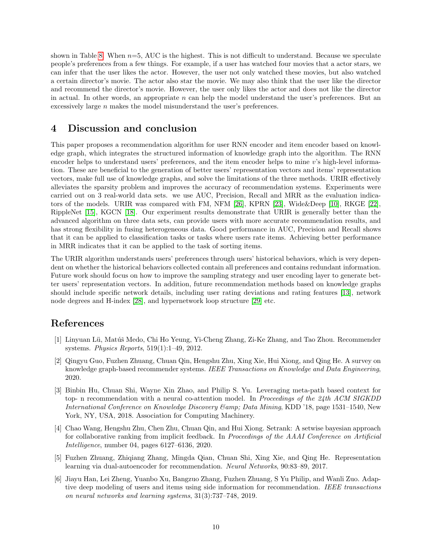shown in Table [8.](#page-8-3) When  $n=5$ , AUC is the highest. This is not difficult to understand. Because we speculate people's preferences from a few things. For example, if a user has watched four movies that a actor stars, we can infer that the user likes the actor. However, the user not only watched these movies, but also watched a certain director's movie. The actor also star the movie. We may also think that the user like the director and recommend the director's movie. However, the user only likes the actor and does not like the director in actual. In other words, an appropriate n can help the model understand the user's preferences. But an excessively large n makes the model misunderstand the user's preferences.

### <span id="page-9-6"></span>4 Discussion and conclusion

This paper proposes a recommendation algorithm for user RNN encoder and item encoder based on knowledge graph, which integrates the structured information of knowledge graph into the algorithm. The RNN encoder helps to understand users' preferences, and the item encoder helps to mine v's high-level information. These are beneficial to the generation of better users' representation vectors and items' representation vectors, make full use of knowledge graphs, and solve the limitations of the three methods. URIR effectively alleviates the sparsity problem and improves the accuracy of recommendation systems. Experiments were carried out on 3 real-world data sets. we use AUC, Precision, Recall and MRR as the evaluation indicators of the models. URIR was compared with FM, NFM [\[26\]](#page-11-3), KPRN [\[23\]](#page-11-0), Wide&Deep [\[10\]](#page-10-3), RKGE [\[22\]](#page-10-15), RippleNet [\[15\]](#page-10-8), KGCN [\[18\]](#page-10-11). Our experiment results demonstrate that URIR is generally better than the advanced algorithm on three data sets, can provide users with more accurate recommendation results, and has strong flexibility in fusing heterogeneous data. Good performance in AUC, Precision and Recall shows that it can be applied to classification tasks or tasks where users rate items. Achieving better performance in MRR indicates that it can be applied to the task of sorting items.

The URIR algorithm understands users' preferences through users' historical behaviors, which is very dependent on whether the historical behaviors collected contain all preferences and contains redundant information. Future work should focus on how to improve the sampling strategy and user encoding layer to generate better users' representation vectors. In addition, future recommendation methods based on knowledge graphs should include specific network details, including user rating deviations and rating features [\[13\]](#page-10-6), network node degrees and H-index [\[28\]](#page-11-5), and hypernetwork loop structure [\[29\]](#page-11-6) etc.

# References

- <span id="page-9-0"></span>[1] Linyuan Lü, Matúš Medo, Chi Ho Yeung, Yi-Cheng Zhang, Zi-Ke Zhang, and Tao Zhou. Recommender systems. Physics Reports, 519(1):1–49, 2012.
- <span id="page-9-1"></span>[2] Qingyu Guo, Fuzhen Zhuang, Chuan Qin, Hengshu Zhu, Xing Xie, Hui Xiong, and Qing He. A survey on knowledge graph-based recommender systems. IEEE Transactions on Knowledge and Data Engineering, 2020.
- <span id="page-9-2"></span>[3] Binbin Hu, Chuan Shi, Wayne Xin Zhao, and Philip S. Yu. Leveraging meta-path based context for top- n recommendation with a neural co-attention model. In Proceedings of the 24th ACM SIGKDD International Conference on Knowledge Discovery Gamp; Data Mining, KDD '18, page 1531–1540, New York, NY, USA, 2018. Association for Computing Machinery.
- <span id="page-9-3"></span>[4] Chao Wang, Hengshu Zhu, Chen Zhu, Chuan Qin, and Hui Xiong. Setrank: A setwise bayesian approach for collaborative ranking from implicit feedback. In Proceedings of the AAAI Conference on Artificial Intelligence, number 04, pages 6127–6136, 2020.
- <span id="page-9-4"></span>[5] Fuzhen Zhuang, Zhiqiang Zhang, Mingda Qian, Chuan Shi, Xing Xie, and Qing He. Representation learning via dual-autoencoder for recommendation. Neural Networks, 90:83–89, 2017.
- <span id="page-9-5"></span>[6] Jiayu Han, Lei Zheng, Yuanbo Xu, Bangzuo Zhang, Fuzhen Zhuang, S Yu Philip, and Wanli Zuo. Adaptive deep modeling of users and items using side information for recommendation. IEEE transactions on neural networks and learning systems, 31(3):737–748, 2019.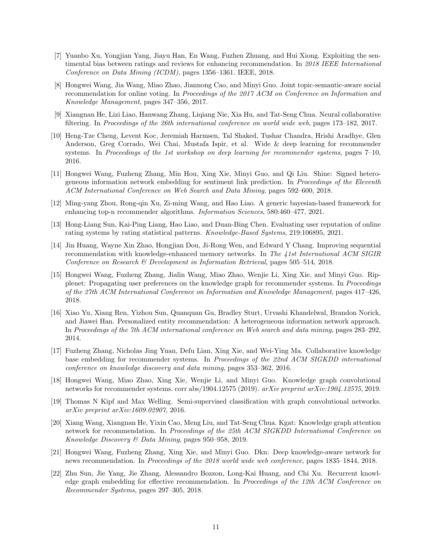- <span id="page-10-0"></span>[7] Yuanbo Xu, Yongjian Yang, Jiayu Han, En Wang, Fuzhen Zhuang, and Hui Xiong. Exploiting the sentimental bias between ratings and reviews for enhancing recommendation. In 2018 IEEE International Conference on Data Mining (ICDM), pages 1356–1361. IEEE, 2018.
- <span id="page-10-1"></span>[8] Hongwei Wang, Jia Wang, Miao Zhao, Jiannong Cao, and Minyi Guo. Joint topic-semantic-aware social recommendation for online voting. In Proceedings of the 2017 ACM on Conference on Information and Knowledge Management, pages 347–356, 2017.
- <span id="page-10-2"></span>[9] Xiangnan He, Lizi Liao, Hanwang Zhang, Liqiang Nie, Xia Hu, and Tat-Seng Chua. Neural collaborative filtering. In Proceedings of the 26th international conference on world wide web, pages 173–182, 2017.
- <span id="page-10-3"></span>[10] Heng-Tze Cheng, Levent Koc, Jeremiah Harmsen, Tal Shaked, Tushar Chandra, Hrishi Aradhye, Glen Anderson, Greg Corrado, Wei Chai, Mustafa Ispir, et al. Wide & deep learning for recommender systems. In Proceedings of the 1st workshop on deep learning for recommender systems, pages 7–10, 2016.
- <span id="page-10-4"></span>[11] Hongwei Wang, Fuzheng Zhang, Min Hou, Xing Xie, Minyi Guo, and Qi Liu. Shine: Signed heterogeneous information network embedding for sentiment link prediction. In Proceedings of the Eleventh ACM International Conference on Web Search and Data Mining, pages 592–600, 2018.
- <span id="page-10-5"></span>[12] Ming-yang Zhou, Rong-qin Xu, Zi-ming Wang, and Hao Liao. A generic bayesian-based framework for enhancing top-n recommender algorithms. Information Sciences, 580:460–477, 2021.
- <span id="page-10-6"></span>[13] Hong-Liang Sun, Kai-Ping Liang, Hao Liao, and Duan-Bing Chen. Evaluating user reputation of online rating systems by rating statistical patterns. Knowledge-Based Systems, 219:106895, 2021.
- <span id="page-10-7"></span>[14] Jin Huang, Wayne Xin Zhao, Hongjian Dou, Ji-Rong Wen, and Edward Y Chang. Improving sequential recommendation with knowledge-enhanced memory networks. In The 41st International ACM SIGIR Conference on Research & Development in Information Retrieval, pages 505–514, 2018.
- <span id="page-10-8"></span>[15] Hongwei Wang, Fuzheng Zhang, Jialin Wang, Miao Zhao, Wenjie Li, Xing Xie, and Minyi Guo. Ripplenet: Propagating user preferences on the knowledge graph for recommender systems. In Proceedings of the 27th ACM International Conference on Information and Knowledge Management, pages 417–426, 2018.
- <span id="page-10-9"></span>[16] Xiao Yu, Xiang Ren, Yizhou Sun, Quanquan Gu, Bradley Sturt, Urvashi Khandelwal, Brandon Norick, and Jiawei Han. Personalized entity recommendation: A heterogeneous information network approach. In Proceedings of the 7th ACM international conference on Web search and data mining, pages 283–292, 2014.
- <span id="page-10-10"></span>[17] Fuzheng Zhang, Nicholas Jing Yuan, Defu Lian, Xing Xie, and Wei-Ying Ma. Collaborative knowledge base embedding for recommender systems. In Proceedings of the 22nd ACM SIGKDD international conference on knowledge discovery and data mining, pages 353–362, 2016.
- <span id="page-10-11"></span>[18] Hongwei Wang, Miao Zhao, Xing Xie, Wenjie Li, and Minyi Guo. Knowledge graph convolutional networks for recommender systems. corr abs/1904.12575 (2019). arXiv preprint arXiv:1904.12575, 2019.
- <span id="page-10-12"></span>[19] Thomas N Kipf and Max Welling. Semi-supervised classification with graph convolutional networks. arXiv preprint arXiv:1609.02907, 2016.
- <span id="page-10-13"></span>[20] Xiang Wang, Xiangnan He, Yixin Cao, Meng Liu, and Tat-Seng Chua. Kgat: Knowledge graph attention network for recommendation. In Proceedings of the 25th ACM SIGKDD International Conference on Knowledge Discovery & Data Mining, pages 950–958, 2019.
- <span id="page-10-14"></span>[21] Hongwei Wang, Fuzheng Zhang, Xing Xie, and Minyi Guo. Dkn: Deep knowledge-aware network for news recommendation. In Proceedings of the 2018 world wide web conference, pages 1835–1844, 2018.
- <span id="page-10-15"></span>[22] Zhu Sun, Jie Yang, Jie Zhang, Alessandro Bozzon, Long-Kai Huang, and Chi Xu. Recurrent knowledge graph embedding for effective recommendation. In Proceedings of the 12th ACM Conference on Recommender Systems, pages 297–305, 2018.